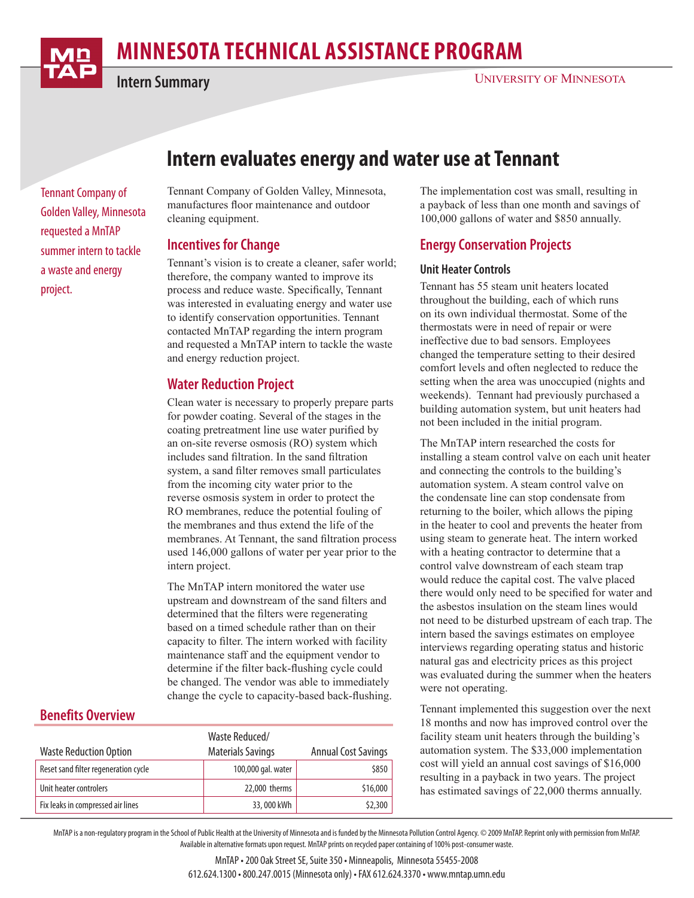

# **minnesota Technical Assistance Program**

**Intern Summary**

## **Intern evaluates energy and water use at Tennant**

Tennant Company of Golden Valley, Minnesota requested a MnTAP summer intern to tackle a waste and energy project.

**Benefits Overview**

Tennant Company of Golden Valley, Minnesota, manufactures floor maintenance and outdoor cleaning equipment.

#### **Incentives for Change**

Tennant's vision is to create a cleaner, safer world; therefore, the company wanted to improve its process and reduce waste. Specifically, Tennant was interested in evaluating energy and water use to identify conservation opportunities. Tennant contacted MnTAP regarding the intern program and requested a MnTAP intern to tackle the waste and energy reduction project.

## **Water Reduction Project**

Clean water is necessary to properly prepare parts for powder coating. Several of the stages in the coating pretreatment line use water purified by an on-site reverse osmosis (RO) system which includes sand filtration. In the sand filtration system, a sand filter removes small particulates from the incoming city water prior to the reverse osmosis system in order to protect the RO membranes, reduce the potential fouling of the membranes and thus extend the life of the membranes. At Tennant, the sand filtration process used 146,000 gallons of water per year prior to the intern project.

The MnTAP intern monitored the water use upstream and downstream of the sand filters and determined that the filters were regenerating based on a timed schedule rather than on their capacity to filter. The intern worked with facility maintenance staff and the equipment vendor to determine if the filter back-flushing cycle could be changed. The vendor was able to immediately change the cycle to capacity-based back-flushing.

## Waste Reduction Option Waste Reduced/ Materials Savings Annual Cost Savings Reset sand filter regeneration cycle  $\sim$  100,000 gal. water  $\sim$  \$850 Unit heater controlers 22,000 therms  $\vert$  22,000 therms  $\vert$  516,000 Fix leaks in compressed air lines  $\overline{\phantom{2}}$  33, 000 kWh  $\overline{\phantom{2}}$   $\overline{\phantom{2}}$  \$2,300

The implementation cost was small, resulting in a payback of less than one month and savings of 100,000 gallons of water and \$850 annually.

## **Energy Conservation Projects**

#### **Unit Heater Controls**

Tennant has 55 steam unit heaters located throughout the building, each of which runs on its own individual thermostat. Some of the thermostats were in need of repair or were ineffective due to bad sensors. Employees changed the temperature setting to their desired comfort levels and often neglected to reduce the setting when the area was unoccupied (nights and weekends). Tennant had previously purchased a building automation system, but unit heaters had not been included in the initial program.

The MnTAP intern researched the costs for installing a steam control valve on each unit heater and connecting the controls to the building's automation system. A steam control valve on the condensate line can stop condensate from returning to the boiler, which allows the piping in the heater to cool and prevents the heater from using steam to generate heat. The intern worked with a heating contractor to determine that a control valve downstream of each steam trap would reduce the capital cost. The valve placed there would only need to be specified for water and the asbestos insulation on the steam lines would not need to be disturbed upstream of each trap. The intern based the savings estimates on employee interviews regarding operating status and historic natural gas and electricity prices as this project was evaluated during the summer when the heaters were not operating.

Tennant implemented this suggestion over the next 18 months and now has improved control over the facility steam unit heaters through the building's automation system. The \$33,000 implementation cost will yield an annual cost savings of \$16,000 resulting in a payback in two years. The project has estimated savings of 22,000 therms annually.

MnTAP is a non-regulatory program in the School of Public Health at the University of Minnesota and is funded by the Minnesota Pollution Control Agency. © 2009 MnTAP. Reprint only with permission from MnTAP. Available in alternative formats upon request. MnTAP prints on recycled paper containing of 100% post-consumer waste.